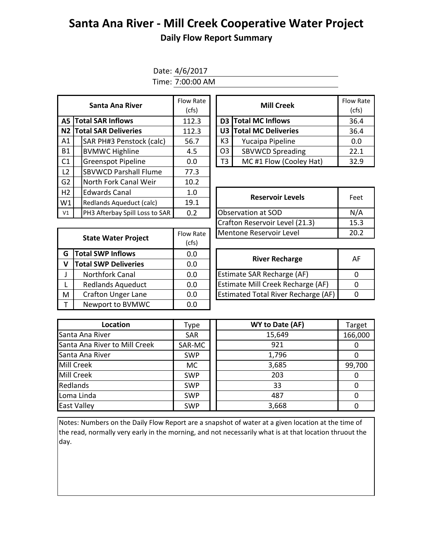## **Santa Ana River - Mill Creek Cooperative Water Project Daily Flow Report Summary**

Date: 4/6/2017

Time: 7:00:00 AM

|           | Santa Ana River                | Flow Rate<br>(cfs) |  |                | Flow Ra<br>(cfs)        |      |  |  |
|-----------|--------------------------------|--------------------|--|----------------|-------------------------|------|--|--|
| A5 I      | <b>Total SAR Inflows</b>       | 112.3              |  | D <sub>3</sub> | <b>Total MC Inflows</b> | 36.4 |  |  |
| N2        | <b>Total SAR Deliveries</b>    | 112.3              |  |                | U3 Total MC Deliveries  | 36.4 |  |  |
| A1        | SAR PH#3 Penstock (calc)       | 56.7               |  | K3             | Yucaipa Pipeline        | 0.0  |  |  |
| <b>B1</b> | <b>BVMWC Highline</b>          | 4.5                |  | O <sub>3</sub> | <b>SBVWCD Spreading</b> | 22.1 |  |  |
| C1        | <b>Greenspot Pipeline</b>      | 0.0                |  | T3             | MC #1 Flow (Cooley Hat) | 32.9 |  |  |
| L2        | <b>SBVWCD Parshall Flume</b>   | 77.3               |  |                |                         |      |  |  |
| G2        | North Fork Canal Weir          | 10.2               |  |                |                         |      |  |  |
| H2        | <b>Edwards Canal</b>           | 1.0                |  |                |                         | Feet |  |  |
| W1        | Redlands Aqueduct (calc)       | 19.1               |  |                | <b>Reservoir Levels</b> |      |  |  |
| V1        | PH3 Afterbay Spill Loss to SAR | 0.2                |  |                | Observation at SOD      | N/A  |  |  |
|           |                                |                    |  |                |                         |      |  |  |

| w Rate<br>(cfs) |    | <b>Mill Creek</b>       | <b>Flow Rate</b><br>(cfs) |
|-----------------|----|-------------------------|---------------------------|
| .12.3           |    | D3 Total MC Inflows     | 36.4                      |
| 12.3            |    | U3 Total MC Deliveries  | 36.4                      |
| 56.7            | K3 | Yucaipa Pipeline        | 0.0                       |
| 4.5             | O3 | <b>SBVWCD Spreading</b> | 22.1                      |
| 0.0             | T3 | MC#1 Flow (Cooley Hat)  | 32.9                      |

| <b>Reservoir Levels</b>        | Feet |
|--------------------------------|------|
| Observation at SOD             | N/A  |
| Crafton Reservoir Level (21.3) | 15.3 |
| Mentone Reservoir Level        | 20.2 |

|                             | Flow Rate                  | Mentone Reservoir Level                    |                       |  |  |
|-----------------------------|----------------------------|--------------------------------------------|-----------------------|--|--|
|                             | (cfs)                      |                                            |                       |  |  |
| <b>Total SWP Inflows</b>    | 0.0                        |                                            | Al                    |  |  |
| <b>Total SWP Deliveries</b> | 0.0                        |                                            |                       |  |  |
| <b>Northfork Canal</b>      | 0.0                        | Estimate SAR Recharge (AF)                 | $\Omega$              |  |  |
| <b>Redlands Aqueduct</b>    | 0.0                        | Estimate Mill Creek Recharge (AF)          | $\Omega$              |  |  |
| <b>Crafton Unger Lane</b>   | 0.0                        | <b>Estimated Total River Recharge (AF)</b> | $\mathbf 0$           |  |  |
| Newport to BVMWC            | 0.0                        |                                            |                       |  |  |
|                             | <b>State Water Project</b> |                                            | <b>River Recharge</b> |  |  |

| <b>River Recharge</b>                      | ΔF |
|--------------------------------------------|----|
| Estimate SAR Recharge (AF)                 |    |
| Estimate Mill Creek Recharge (AF)          |    |
| <b>Estimated Total River Recharge (AF)</b> |    |

| Location                      | Type       | WY to Date (AF) | Target  |
|-------------------------------|------------|-----------------|---------|
| Santa Ana River               | <b>SAR</b> | 15,649          | 166,000 |
| Santa Ana River to Mill Creek | SAR-MC     | 921             |         |
| Santa Ana River               | <b>SWP</b> | 1,796           |         |
| <b>Mill Creek</b>             | <b>MC</b>  | 3,685           | 99,700  |
| <b>Mill Creek</b>             | <b>SWP</b> | 203             |         |
| Redlands                      | <b>SWP</b> | 33              |         |
| Loma Linda                    | <b>SWP</b> | 487             |         |
| <b>East Valley</b>            | <b>SWP</b> | 3,668           |         |

Notes: Numbers on the Daily Flow Report are a snapshot of water at a given location at the time of the read, normally very early in the morning, and not necessarily what is at that location thruout the day.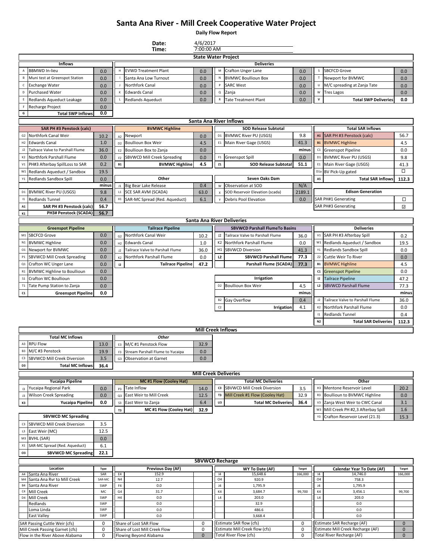## **Santa Ana River - Mill Creek Cooperative Water Project**

**Daily Flow Report**

|                 |                                                                  |               |                      | Date:<br>Time:                                          | 4/6/2017<br>7:00:00 AM       |                               |                                                           |               |                        |                                                                 |                            |
|-----------------|------------------------------------------------------------------|---------------|----------------------|---------------------------------------------------------|------------------------------|-------------------------------|-----------------------------------------------------------|---------------|------------------------|-----------------------------------------------------------------|----------------------------|
|                 |                                                                  |               |                      |                                                         | <b>State Water Project</b>   |                               |                                                           |               |                        |                                                                 |                            |
|                 | <b>Inflows</b>                                                   |               |                      |                                                         |                              |                               | <b>Deliveries</b>                                         |               |                        |                                                                 |                            |
| A               | <b>BBMWD In-lieu</b>                                             | 0.0           | н                    | <b>EVWD Treatment Plant</b>                             | 0.0                          | М                             | <b>Crafton Unger Lane</b>                                 | 0.0           | s                      | <b>SBCFCD Grove</b>                                             | 0.0                        |
| B               | Muni test at Greenspot Station                                   | 0.0           |                      | Santa Ana Low Turnout                                   | 0.0                          | N                             | <b>BVMWC Boullioun Box</b>                                | 0.0           |                        | Newport for BVMWC                                               | 0.0                        |
| c               | <b>Exchange Water</b>                                            | 0.0           |                      | Northfork Canal                                         | 0.0                          | P                             | <b>SARC West</b>                                          | 0.0           |                        | M/C spreading at Zanja Tate                                     | 0.0                        |
| D               | <b>Purchased Water</b>                                           | 0.0           | К                    | <b>Edwards Canal</b>                                    | 0.0                          | Q                             | Zanja                                                     | 0.0           | W                      | <b>Tres Lagos</b>                                               | 0.0                        |
| Ε               | Redlands Aqueduct Leakage                                        | 0.0           |                      | <b>Redlands Aqueduct</b>                                | 0.0                          | $\mathsf R$                   | <b>Tate Treatment Plant</b>                               | 0.0           | v                      | <b>Total SWP Deliveries</b>                                     | 0.0                        |
| F               | Recharge Project                                                 | 0.0           |                      |                                                         |                              |                               |                                                           |               |                        |                                                                 |                            |
| G               | <b>Total SWP Inflows</b>                                         | 0.0           |                      |                                                         |                              |                               |                                                           |               |                        |                                                                 |                            |
|                 |                                                                  |               |                      |                                                         |                              |                               | Santa Ana River Inflows                                   |               |                        |                                                                 |                            |
|                 | <b>SAR PH #3 Penstock (calc)</b>                                 |               |                      | <b>BVMWC Highline</b>                                   |                              |                               | <b>SOD Release Subtotal</b>                               |               |                        | <b>Total SAR Inflows</b>                                        |                            |
| G <sub>2</sub>  | Northfork Canal Weir                                             | 10.2          | A2                   | Newport                                                 | 0.0                          |                               | D1 BVMWC River PU (USGS)                                  | 9.8           |                        | A1 SAR PH #3 Penstock (calc)                                    | 56.7                       |
| H2              | <b>Edwards Canal</b>                                             | 1.0           | D <sub>2</sub>       | <b>Boullioun Box Weir</b>                               | 4.5                          | E1                            | Main River Gage (USGS)                                    | 41.3          | <b>B1</b>              | <b>BVMWC Highline</b>                                           | 4.5                        |
| J2              | Tailrace Valve to Parshall Flume                                 | 36.0          | E <sub>2</sub>       | Boullioun Box to Zanja                                  | 0.0                          |                               |                                                           | minus         | C1                     | Greenspot Pipeline                                              | 0.0                        |
| K2              | Northfork Parshall Flume                                         | 0.0           | F <sub>2</sub>       | SBVWCD Mill Creek Spreading                             | 0.0                          |                               | F1 Greenspot Spill                                        | 0.0           | D <sub>1</sub>         | <b>BVMWC River PU (USGS)</b>                                    | 9.8                        |
| V1              | PH#3 Afterbay SpillLoss to SAR                                   | 0.2           | <b>B1</b>            | <b>BVMWC Highline</b>                                   | 4.5                          | Z1                            | <b>SOD Release Subtotal</b>                               | 51.1          | $\mathbb{E}1$          | Main River Gage (USGS)                                          | 41.3<br>□                  |
|                 | W1 Redlands Aqueduct / Sandbox                                   | 19.5          |                      | Other                                                   |                              |                               | Seven Oaks Dam                                            |               | D <sub>1</sub> a<br>A5 | BV Pick-Up gated                                                |                            |
|                 | Y1 Redlands Sandbox Spill                                        | 0.0<br>minus  |                      | J1 Big Bear Lake Release                                | 0.4                          | W                             | Observation at SOD                                        | N/A           |                        | <b>Total SAR Inflows</b>                                        | 112.3                      |
| D1              | <b>BVMWC River PU (USGS)</b>                                     | 9.8           | L1                   | SCE SAR AVM (SCADA)                                     | 63.0                         | $\pmb{\chi}$                  | SOD Reservoir Elevation (scada)                           | 2189.1        |                        | <b>Edison Generation</b>                                        |                            |
| 1               | <b>Redlands Tunnel</b>                                           | 0.4           | X1                   | SAR-MC Spread (Red. Aqueduct)                           | 6.1                          |                               | <b>Debris Pool Elevation</b>                              | 0.0           |                        | <b>SAR PH#1 Generating</b>                                      | □                          |
| $\mathbf{A1}$   | SAR PH #3 Penstock (calc)                                        | 56.7          |                      |                                                         |                              |                               |                                                           |               |                        | SAR PH#3 Generating                                             | ⊡                          |
| K1              | <b>PH3# Penstock (SCADA)</b>                                     | 56.7          |                      |                                                         |                              |                               |                                                           |               |                        |                                                                 |                            |
|                 |                                                                  |               |                      |                                                         |                              |                               | Santa Ana River Deliveries                                |               |                        |                                                                 |                            |
|                 | <b>Greenspot Pipeline</b>                                        |               |                      | <b>Tailrace Pipeline</b>                                |                              |                               | <b>SBVWCD Parshall FlumeTo Basins</b>                     |               |                        | <b>Deliveries</b>                                               |                            |
| M1              | <b>SBCFCD Grove</b>                                              | 0.0           | G <sub>2</sub>       | Northfork Canal Weir                                    | 10.2                         | J2                            | Tailrace Valve to Parshall Flume                          | 36.0          | V1                     | SAR PH #3 Afterbay Spill                                        | 0.2                        |
| N1              | <b>BVMWC Highline</b>                                            | 0.0           | H2                   | <b>Edwards Canal</b>                                    | 1.0                          | K <sub>2</sub>                | Northfork Parshall Flume                                  | 0.0           | W1                     | Redlands Aqueduct / Sandbox                                     | 19.5                       |
|                 | 01 Newport for BVMWC                                             | 0.0           | J2                   | Tailrace Valve to Parshall Flume                        | 36.0                         | H1                            | <b>SBVWCD Diversion</b>                                   | 41.3          | Y1                     | Redlands Sandbox Spill                                          | 0.0                        |
|                 | P1 SBVWCD Mill Creek Spreading                                   | 0.0           | K2                   | Northfork Parshall Flume                                | 0.0                          | L2                            | <b>SBVWCD Parshall Flume</b>                              | 77.3          | Z <sub>2</sub>         | Cuttle Weir To River                                            | 0.0                        |
| Q1              | Crafton WC Unger Lane                                            | 0.0           | 12                   | <b>Tailrace Pipeline</b>                                | 47.2                         |                               | Parshall Flume (SCADA)                                    | 77.3          | <b>B1</b>              | <b>BVMWC Highline</b>                                           | 4.5                        |
| R1              | <b>BVMWC Highline to Boullioun</b>                               | 0.0           |                      |                                                         |                              |                               |                                                           |               | C1                     | <b>Greenspot Pipeline</b>                                       | 0.0                        |
| S <sub>1</sub>  | Crafton WC Boullioun                                             | 0.0           |                      |                                                         |                              |                               | Irrigation                                                |               | 12                     | <b>Tailrace Pipeline</b>                                        | 47.2                       |
| T1              | Tate Pump Station to Zanja                                       | 0.0           |                      |                                                         |                              |                               | D2 Boullioun Box Weir                                     | 4.5           | L2                     | <b>SBVWCD Parshall Flume</b>                                    | 77.3                       |
|                 |                                                                  |               |                      |                                                         |                              |                               |                                                           |               |                        |                                                                 |                            |
| C1              | <b>Greenspot Pipeline</b>                                        | 0.0           |                      |                                                         |                              |                               |                                                           | minus         |                        |                                                                 | minus                      |
|                 |                                                                  |               |                      |                                                         |                              | <b>B2</b>                     | Gay Overflow                                              | 0.4           | J2                     | Tailrace Valve to Parshall Flume                                | 36.0                       |
|                 |                                                                  |               |                      |                                                         |                              | C <sub>2</sub>                | Irrigation                                                | 4.1           | K <sub>2</sub>         | Northfork Parshall Flume                                        | 0.0                        |
|                 |                                                                  |               |                      |                                                         |                              |                               |                                                           |               | $\mathsf{I}1$          | <b>Redlands Tunnel</b>                                          | 0.4                        |
|                 |                                                                  |               |                      |                                                         |                              |                               |                                                           |               | N2                     | <b>Total SAR Deliveries</b>                                     | 112.3                      |
|                 |                                                                  |               |                      |                                                         | <b>Mill Creek Inflows</b>    |                               |                                                           |               |                        |                                                                 |                            |
|                 | <b>Total MC Inflows</b>                                          |               |                      | Other                                                   |                              |                               |                                                           |               |                        |                                                                 |                            |
| A3              | <b>RPU Flow</b>                                                  | 13.0          | E3                   | M/C #1 Penstock Flow                                    | 32.9                         |                               |                                                           |               |                        |                                                                 |                            |
|                 | B3 M/C #3 Penstock                                               | 19.9          | F3                   | Stream Parshall Flume to Yucaipa                        | 0.0                          |                               |                                                           |               |                        |                                                                 |                            |
| C3              | <b>SBVWCD Mill Creek Diversion</b>                               | $3.5\,$       |                      | G3 Observation at Garnet                                | 0.0                          |                               |                                                           |               |                        |                                                                 |                            |
| D3              | <b>Total MC Inflows</b>                                          | 36.4          |                      |                                                         |                              |                               |                                                           |               |                        |                                                                 |                            |
|                 |                                                                  |               |                      |                                                         | <b>Mill Creek Deliveries</b> |                               | <b>Total MC Deliveries</b>                                |               |                        | Other                                                           |                            |
| 13              | <b>Yucaipa Pipeline</b><br>Yucaipa Regional Park                 | 0.0           | P <sub>3</sub>       | <b>MC#1 Flow (Cooley Hat)</b><br>Tate Inflow            | 14.0                         |                               | c3 SBVWCD Mill Creek Diversion                            | 3.5           |                        | H3 Mentone Reservoir Level                                      | 20.2                       |
| J3              | <b>Wilson Creek Spreading</b>                                    | 0.0           | Q3                   | East Weir to Mill Creek                                 | 12.5                         | T3                            | Mill Creek #1 Flow (Cooley Hat)                           | 32.9          | R3                     | Boullioun to BVMWC Highline                                     | 0.0                        |
| K3              | <b>Yucaipa Pipeline</b>                                          | 0.0           | S3                   | East Weir to Zanja                                      | 6.4                          | U3                            | <b>Total MC Deliveries</b>                                | 36.4          | V3                     | Zanja West Weir to CWC Canal                                    | 3.1                        |
|                 |                                                                  |               | T3                   | MC #1 Flow (Cooley Hat)                                 | 32.9                         |                               |                                                           |               | W3                     | Mill Creek PH #2,3 Afterbay Spill                               | 1.6                        |
|                 | <b>SBVWCD MC Spreading</b>                                       |               |                      |                                                         |                              |                               |                                                           |               | Y3                     | Crafton Reservoir Level (21.3)                                  | 15.3                       |
|                 | C3 SBVWCD Mill Creek Diversion                                   | 3.5           |                      |                                                         |                              |                               |                                                           |               |                        |                                                                 |                            |
| L3              | East Weir (MC)                                                   | 12.5          |                      |                                                         |                              |                               |                                                           |               |                        |                                                                 |                            |
|                 | M3 BVHL (SAR)                                                    | 0.0           |                      |                                                         |                              |                               |                                                           |               |                        |                                                                 |                            |
| X1              | SAR-MC Spread (Red. Aqueduct)                                    | 6.1           |                      |                                                         |                              |                               |                                                           |               |                        |                                                                 |                            |
| 03              | <b>SBVWCD MC Spreading</b>                                       | 22.1          |                      |                                                         |                              |                               |                                                           |               |                        |                                                                 |                            |
|                 |                                                                  |               |                      |                                                         | <b>SBVWCD Recharge</b>       |                               |                                                           |               |                        |                                                                 |                            |
|                 | Location                                                         | Type          |                      | Previous Day (AF)                                       |                              |                               | WY To Date (AF)                                           | <b>Target</b> |                        | Calendar Year To Date (AF)                                      | <b>Target</b>              |
|                 | A4 Santa Ana River                                               | SAR           | E4                   | 152.9                                                   |                              | 4                             | 15,648.6                                                  | 166,000       | 14                     | 14,746.0                                                        | 166,000                    |
| M4<br><b>B4</b> | Santa Ana Rvr to Mill Creek<br>Santa Ana River                   | SAR-MC<br>SWP | N <sub>4</sub><br>F4 | 12.7<br>0.0                                             |                              | O <sub>4</sub><br>$_{\rm J4}$ | 920.9<br>1,795.9                                          |               | 04<br>J4               | 758.3<br>1,795.9                                                |                            |
| C4              | Mill Creek                                                       | МC            | G <sub>4</sub>       | 31.7                                                    |                              | K4                            | 3,684.7                                                   | 99,700        | $\mathsf{K}4$          | 3,456.1                                                         | 99,700                     |
| D <sub>4</sub>  | Mill Creek                                                       | SWP           | H4                   | $0.0\,$                                                 |                              | L4                            | 203.0                                                     |               | L4                     | 203.0                                                           |                            |
|                 | Redlands                                                         | SWP           |                      | 0.0                                                     |                              |                               | 32.9                                                      |               |                        | 0.0                                                             |                            |
|                 | Loma Linda                                                       | SWP           |                      | 0.0                                                     |                              |                               | 486.6                                                     |               |                        | 0.0                                                             |                            |
|                 | <b>East Valley</b>                                               | SWP           |                      | 0.0                                                     |                              |                               | 3,668.4                                                   |               |                        | 0.0                                                             |                            |
|                 | SAR Passing Cuttle Weir (cfs)<br>Mill Creek Passing Garnet (cfs) | 0<br>0        |                      | Share of Lost SAR Flow<br>Share of Lost Mill Creek Flow | 0<br>0                       |                               | Estimate SAR flow (cfs)<br>Estimate Mill Creek flow (cfs) | 0<br>0        |                        | Estimate SAR Recharge (AF)<br>Estimate Mill Creek Recharge (AF) | $\mathbf 0$<br>$\mathbf 0$ |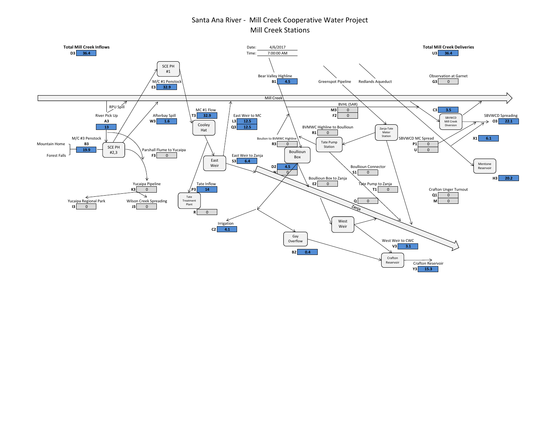## Santa Ana River - Mill Creek Cooperative Water Project Mill Creek Stations